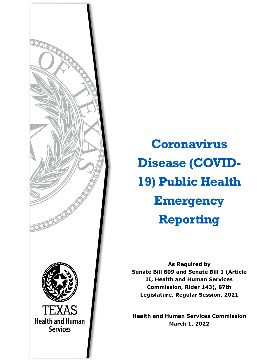

**Coronavirus Disease (COVID-19) Public Health Emergency Reporting**

**As Required by Senate Bill 809 and Senate Bill 1 (Article II, Health and Human Services Commission, Rider 143), 87th Legislature, Regular Session, 2021**

**Health and Human Services Commission March 1, 2022**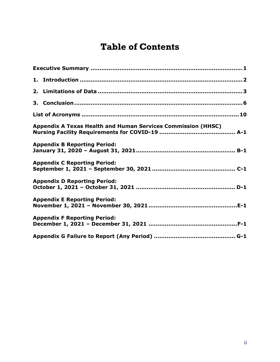## **Table of Contents**

| Appendix A Texas Health and Human Services Commission (HHSC) |  |  |  |
|--------------------------------------------------------------|--|--|--|
| <b>Appendix B Reporting Period:</b>                          |  |  |  |
| <b>Appendix C Reporting Period:</b>                          |  |  |  |
| <b>Appendix D Reporting Period:</b>                          |  |  |  |
| <b>Appendix E Reporting Period:</b>                          |  |  |  |
| <b>Appendix F Reporting Period:</b>                          |  |  |  |
|                                                              |  |  |  |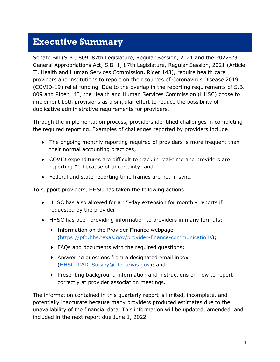#### <span id="page-2-0"></span>**Executive Summary**

Senate Bill (S.B.) 809, 87th Legislature, Regular Session, 2021 and the 2022-23 General Appropriations Act, S.B. 1, 87th Legislature, Regular Session, 2021 (Article II, Health and Human Services Commission, Rider 143), require health care providers and institutions to report on their sources of Coronavirus Disease 2019 (COVID-19) relief funding. Due to the overlap in the reporting requirements of S.B. 809 and Rider 143, the Health and Human Services Commission (HHSC) chose to implement both provisions as a singular effort to reduce the possibility of duplicative administrative requirements for providers.

Through the implementation process, providers identified challenges in completing the required reporting. Examples of challenges reported by providers include:

- The ongoing monthly reporting required of providers is more frequent than their normal accounting practices;
- COVID expenditures are difficult to track in real-time and providers are reporting \$0 because of uncertainty; and
- Federal and state reporting time frames are not in sync.

To support providers, HHSC has taken the following actions:

- HHSC has also allowed for a 15-day extension for monthly reports if requested by the provider.
- HHSC has been providing information to providers in many formats:
	- **Information on the Provider Finance webpage** [\(https://pfd.hhs.texas.gov/provider-finance-communications\)](https://pfd.hhs.texas.gov/provider-finance-communications);
	- FAQs and documents with the required questions;
	- Answering questions from a designated email inbox [\(HHSC\\_RAD\\_Survey@hhs.texas.gov\)](mailto:HHSC_RAD_Survey@hhs.texas.gov); and
	- Presenting background information and instructions on how to report correctly at provider association meetings.

The information contained in this quarterly report is limited, incomplete, and potentially inaccurate because many providers produced estimates due to the unavailability of the financial data. This information will be updated, amended, and included in the next report due June 1, 2022.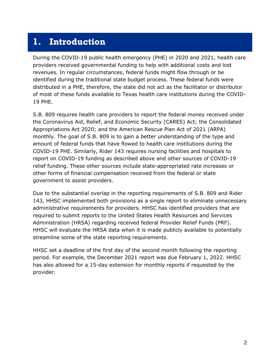### <span id="page-3-0"></span>**1. Introduction**

During the COVID-19 public health emergency (PHE) in 2020 and 2021, health care providers received governmental funding to help with additional costs and lost revenues. In regular circumstances, federal funds might flow through or be identified during the traditional state budget process. These federal funds were distributed in a PHE, therefore, the state did not act as the facilitator or distributor of most of these funds available to Texas health care institutions during the COVID-19 PHE.

S.B. 809 requires health care providers to report the federal money received under the Coronavirus Aid, Relief, and Economic Security (CARES) Act; the Consolidated Appropriations Act 2020; and the American Rescue Plan Act of 2021 (ARPA) monthly. The goal of S.B. 809 is to gain a better understanding of the type and amount of federal funds that have flowed to health care institutions during the COVID-19 PHE. Similarly, Rider 143 requires nursing facilities and hospitals to report on COVID-19 funding as described above and other sources of COVID-19 relief funding. These other sources include state-appropriated rate increases or other forms of financial compensation received from the federal or state government to assist providers.

Due to the substantial overlap in the reporting requirements of S.B. 809 and Rider 143, HHSC implemented both provisions as a single report to eliminate unnecessary administrative requirements for providers. HHSC has identified providers that are required to submit reports to the United States Health Resources and Services Administration (HRSA) regarding received federal Provider Relief Funds (PRF). HHSC will evaluate the HRSA data when it is made publicly available to potentially streamline some of the state reporting requirements.

HHSC set a deadline of the first day of the second month following the reporting period. For example, the December 2021 report was due February 1, 2022. HHSC has also allowed for a 15-day extension for monthly reports if requested by the provider.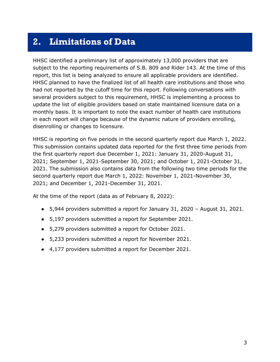### <span id="page-4-0"></span>**2. Limitations of Data**

HHSC identified a preliminary list of approximately 13,000 providers that are subject to the reporting requirements of S.B. 809 and Rider 143. At the time of this report, this list is being analyzed to ensure all applicable providers are identified. HHSC planned to have the finalized list of all health care institutions and those who had not reported by the cutoff time for this report. Following conversations with several providers subject to this requirement, HHSC is implementing a process to update the list of eligible providers based on state maintained licensure data on a monthly basis. It is important to note the exact number of health care institutions in each report will change because of the dynamic nature of providers enrolling, disenrolling or changes to licensure.

HHSC is reporting on five periods in the second quarterly report due March 1, 2022. This submission contains updated data reported for the first three time periods from the first quarterly report due December 1, 2021: January 31, 2020-August 31, 2021; September 1, 2021-September 30, 2021; and October 1, 2021-October 31, 2021. The submission also contains data from the following two time periods for the second quarterly report due March 1, 2022: November 1, 2021-November 30, 2021; and December 1, 2021-December 31, 2021.

At the time of the report (data as of February 8, 2022):

- 5,944 providers submitted a report for January 31, 2020 August 31, 2021.
- 5,197 providers submitted a report for September 2021.
- 5,279 providers submitted a report for October 2021.
- 5,233 providers submitted a report for November 2021.
- 4,177 providers submitted a report for December 2021.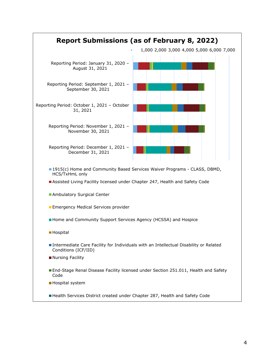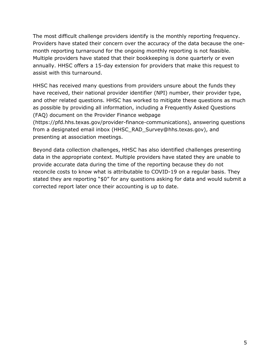The most difficult challenge providers identify is the monthly reporting frequency. Providers have stated their concern over the accuracy of the data because the onemonth reporting turnaround for the ongoing monthly reporting is not feasible. Multiple providers have stated that their bookkeeping is done quarterly or even annually. HHSC offers a 15-day extension for providers that make this request to assist with this turnaround.

HHSC has received many questions from providers unsure about the funds they have received, their national provider identifier (NPI) number, their provider type, and other related questions. HHSC has worked to mitigate these questions as much as possible by providing all information, including a Frequently Asked Questions (FAQ) document on the Provider Finance webpage (https://pfd.hhs.texas.gov/provider-finance-communications), answering questions from a designated email inbox (HHSC\_RAD\_Survey@hhs.texas.gov), and

presenting at association meetings.

Beyond data collection challenges, HHSC has also identified challenges presenting data in the appropriate context. Multiple providers have stated they are unable to provide accurate data during the time of the reporting because they do not reconcile costs to know what is attributable to COVID-19 on a regular basis. They stated they are reporting "\$0" for any questions asking for data and would submit a corrected report later once their accounting is up to date.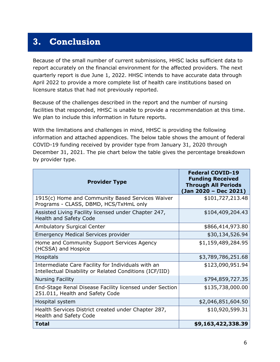## <span id="page-7-0"></span>**3. Conclusion**

Because of the small number of current submissions, HHSC lacks sufficient data to report accurately on the financial environment for the affected providers. The next quarterly report is due June 1, 2022. HHSC intends to have accurate data through April 2022 to provide a more complete list of health care institutions based on licensure status that had not previously reported.

Because of the challenges described in the report and the number of nursing facilities that responded, HHSC is unable to provide a recommendation at this time. We plan to include this information in future reports.

With the limitations and challenges in mind, HHSC is providing the following information and attached appendices. The below table shows the amount of federal COVID-19 funding received by provider type from January 31, 2020 through December 31, 2021. The pie chart below the table gives the percentage breakdown by provider type.

| <b>Provider Type</b>                                                                                          | <b>Federal COVID-19</b><br><b>Funding Received</b><br><b>Through All Periods</b><br>(Jan 2020 - Dec 2021) |
|---------------------------------------------------------------------------------------------------------------|-----------------------------------------------------------------------------------------------------------|
| 1915(c) Home and Community Based Services Waiver<br>Programs - CLASS, DBMD, HCS/TxHmL only                    | \$101,727,213.48                                                                                          |
| Assisted Living Facility licensed under Chapter 247,<br><b>Health and Safety Code</b>                         | \$104,409,204.43                                                                                          |
| <b>Ambulatory Surgical Center</b>                                                                             | \$866,414,973.80                                                                                          |
| <b>Emergency Medical Services provider</b>                                                                    | \$30,134,526.94                                                                                           |
| Home and Community Support Services Agency<br>(HCSSA) and Hospice                                             | \$1,159,489,284.95                                                                                        |
| <b>Hospitals</b>                                                                                              | \$3,789,786,251.68                                                                                        |
| Intermediate Care Facility for Individuals with an<br>Intellectual Disability or Related Conditions (ICF/IID) | \$123,090,951.94                                                                                          |
| <b>Nursing Facility</b>                                                                                       | \$794,859,727.35                                                                                          |
| End-Stage Renal Disease Facility licensed under Section<br>251.011, Health and Safety Code                    | \$135,738,000.00                                                                                          |
| Hospital system                                                                                               | \$2,046,851,604.50                                                                                        |
| Health Services District created under Chapter 287,<br>Health and Safety Code                                 | \$10,920,599.31                                                                                           |
| <b>Total</b>                                                                                                  | \$9,163,422,338.39                                                                                        |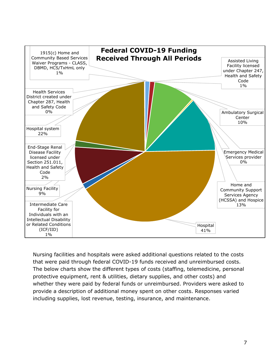

Nursing facilities and hospitals were asked additional questions related to the costs that were paid through federal COVID-19 funds received and unreimbursed costs. The below charts show the different types of costs (staffing, telemedicine, personal protective equipment, rent & utilities, dietary supplies, and other costs) and whether they were paid by federal funds or unreimbursed. Providers were asked to provide a description of additional money spent on other costs. Responses varied including supplies, lost revenue, testing, insurance, and maintenance.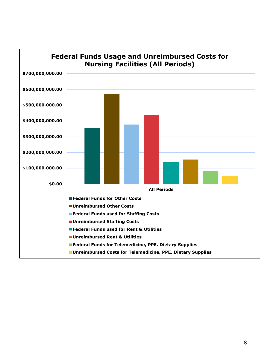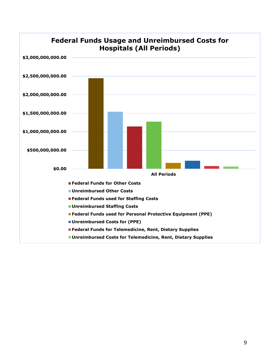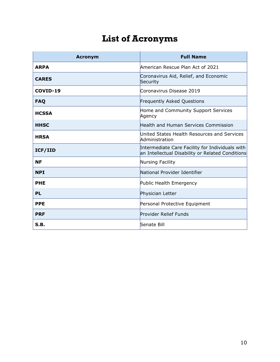# **List of Acronyms**

<span id="page-11-0"></span>

| <b>Acronym</b> | <b>Full Name</b>                                                                                    |
|----------------|-----------------------------------------------------------------------------------------------------|
| <b>ARPA</b>    | American Rescue Plan Act of 2021                                                                    |
| <b>CARES</b>   | Coronavirus Aid, Relief, and Economic<br>Security                                                   |
| COVID-19       | Coronavirus Disease 2019                                                                            |
| <b>FAQ</b>     | <b>Frequently Asked Questions</b>                                                                   |
| <b>HCSSA</b>   | Home and Community Support Services<br>Agency                                                       |
| <b>HHSC</b>    | Health and Human Services Commission                                                                |
| <b>HRSA</b>    | United States Health Resources and Services<br>Administration                                       |
| ICF/IID        | Intermediate Care Facility for Individuals with<br>an Intellectual Disability or Related Conditions |
| <b>NF</b>      | Nursing Facility                                                                                    |
| <b>NPI</b>     | National Provider Identifier                                                                        |
| <b>PHE</b>     | Public Health Emergency                                                                             |
| <b>PL</b>      | Physician Letter                                                                                    |
| <b>PPE</b>     | Personal Protective Equipment                                                                       |
| <b>PRF</b>     | <b>Provider Relief Funds</b>                                                                        |
| S.B.           | Senate Bill                                                                                         |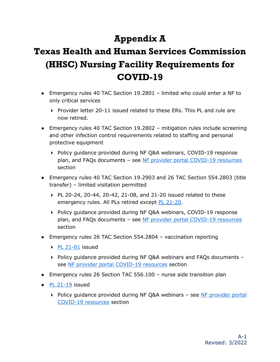# **Appendix A**

# <span id="page-12-0"></span>**Texas Health and Human Services Commission (HHSC) Nursing Facility Requirements for COVID-19**

- Emergency rules 40 TAC Section 19.2801 limited who could enter a NF to only critical services
	- $\triangleright$  Provider letter 20-11 issued related to these ERs. This PL and rule are now retired.
- Emergency rules 40 TAC Section 19.2802 mitigation rules include screening and other infection control requirements related to staffing and personal protective equipment
	- ▶ Policy quidance provided during NF Q&A webinars, COVID-19 response plan, and FAQs documents – see [NF provider portal COVID-19 resources](https://www.hhs.texas.gov/doing-business-hhs/provider-portals/long-term-care-providers/nursing-facilities-nf) section
- Emergency rules 40 TAC Section 19.2903 and 26 TAC Section 554.2803 (title transfer) – limited visitation permitted
	- $\triangleright$  PL 20-24, 20-44, 20-42, 21-08, and 21-20 issued related to these emergency rules. All PLs retired except [PL 21-20.](https://apps.hhs.texas.gov/providers/communications/2021/letters/PL2021-20.pdf)
	- ▶ Policy guidance provided during NF Q&A webinars, COVID-19 response plan, and FAQs documents - see [NF provider portal COVID-19 resources](https://www.hhs.texas.gov/doing-business-hhs/provider-portals/long-term-care-providers/nursing-facilities-nf) section
- Emergency rules 26 TAC Section 554.2804 vaccination reporting
	- [PL 21-01](https://apps.hhs.texas.gov/providers/communications/2021/letters/PL2021-01.pdf) issued
	- $\triangleright$  Policy guidance provided during NF Q&A webinars and FAQs documents see [NF provider portal COVID-19 resources](https://www.hhs.texas.gov/doing-business-hhs/provider-portals/long-term-care-providers/nursing-facilities-nf) section
- Emergency rules 26 Section TAC 556.100 nurse aide transition plan
- $\bullet$  [PL 21-19](https://apps.hhs.texas.gov/providers/communications/2021/letters/PL2021-19.pdf) issued
	- ▶ Policy quidance provided during NF Q&A webinars see NF provider portal [COVID-19 resources](https://www.hhs.texas.gov/doing-business-hhs/provider-portals/long-term-care-providers/nursing-facilities-nf) section